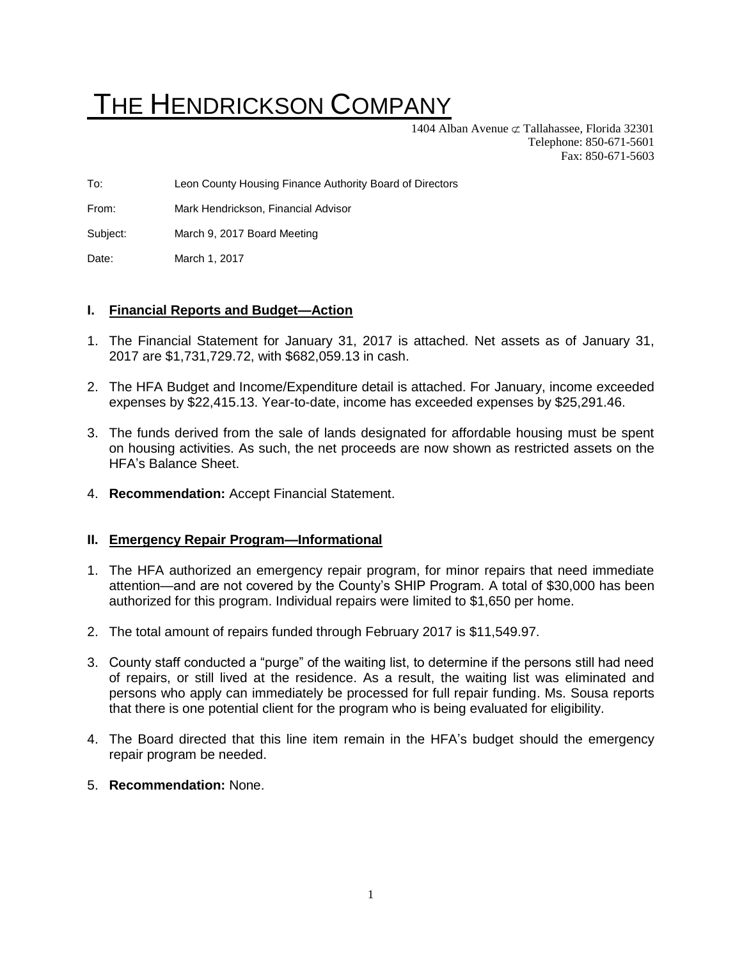# THE HENDRICKSON COMPANY

1404 Alban Avenue  $\sigma$  Tallahassee, Florida 32301 Telephone: 850-671-5601 Fax: 850-671-5603

To: Leon County Housing Finance Authority Board of Directors

From: Mark Hendrickson, Financial Advisor

Subject: March 9, 2017 Board Meeting

Date: March 1, 2017

# **I. Financial Reports and Budget—Action**

- 1. The Financial Statement for January 31, 2017 is attached. Net assets as of January 31, 2017 are \$1,731,729.72, with \$682,059.13 in cash.
- 2. The HFA Budget and Income/Expenditure detail is attached. For January, income exceeded expenses by \$22,415.13. Year-to-date, income has exceeded expenses by \$25,291.46.
- 3. The funds derived from the sale of lands designated for affordable housing must be spent on housing activities. As such, the net proceeds are now shown as restricted assets on the HFA's Balance Sheet.
- 4. **Recommendation:** Accept Financial Statement.

### **II. Emergency Repair Program—Informational**

- 1. The HFA authorized an emergency repair program, for minor repairs that need immediate attention—and are not covered by the County's SHIP Program. A total of \$30,000 has been authorized for this program. Individual repairs were limited to \$1,650 per home.
- 2. The total amount of repairs funded through February 2017 is \$11,549.97.
- 3. County staff conducted a "purge" of the waiting list, to determine if the persons still had need of repairs, or still lived at the residence. As a result, the waiting list was eliminated and persons who apply can immediately be processed for full repair funding. Ms. Sousa reports that there is one potential client for the program who is being evaluated for eligibility.
- 4. The Board directed that this line item remain in the HFA's budget should the emergency repair program be needed.
- 5. **Recommendation:** None.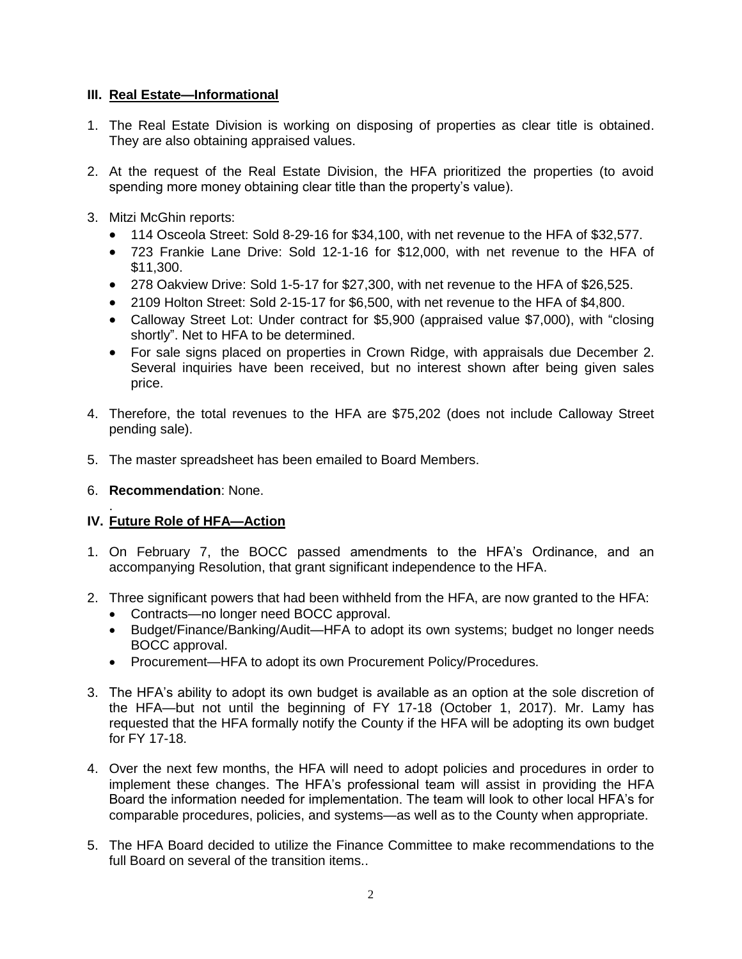# **III. Real Estate—Informational**

- 1. The Real Estate Division is working on disposing of properties as clear title is obtained. They are also obtaining appraised values.
- 2. At the request of the Real Estate Division, the HFA prioritized the properties (to avoid spending more money obtaining clear title than the property's value).
- 3. Mitzi McGhin reports:
	- 114 Osceola Street: Sold 8-29-16 for \$34,100, with net revenue to the HFA of \$32,577.
	- 723 Frankie Lane Drive: Sold 12-1-16 for \$12,000, with net revenue to the HFA of \$11,300.
	- 278 Oakview Drive: Sold 1-5-17 for \$27,300, with net revenue to the HFA of \$26,525.
	- 2109 Holton Street: Sold 2-15-17 for \$6,500, with net revenue to the HFA of \$4,800.
	- Calloway Street Lot: Under contract for \$5,900 (appraised value \$7,000), with "closing shortly". Net to HFA to be determined.
	- For sale signs placed on properties in Crown Ridge, with appraisals due December 2. Several inquiries have been received, but no interest shown after being given sales price.
- 4. Therefore, the total revenues to the HFA are \$75,202 (does not include Calloway Street pending sale).
- 5. The master spreadsheet has been emailed to Board Members.
- 6. **Recommendation**: None.

#### . **IV. Future Role of HFA—Action**

- 1. On February 7, the BOCC passed amendments to the HFA's Ordinance, and an accompanying Resolution, that grant significant independence to the HFA.
- 2. Three significant powers that had been withheld from the HFA, are now granted to the HFA:
	- Contracts—no longer need BOCC approval.
	- Budget/Finance/Banking/Audit—HFA to adopt its own systems; budget no longer needs BOCC approval.
	- Procurement—HFA to adopt its own Procurement Policy/Procedures.
- 3. The HFA's ability to adopt its own budget is available as an option at the sole discretion of the HFA—but not until the beginning of FY 17-18 (October 1, 2017). Mr. Lamy has requested that the HFA formally notify the County if the HFA will be adopting its own budget for FY 17-18.
- 4. Over the next few months, the HFA will need to adopt policies and procedures in order to implement these changes. The HFA's professional team will assist in providing the HFA Board the information needed for implementation. The team will look to other local HFA's for comparable procedures, policies, and systems—as well as to the County when appropriate.
- 5. The HFA Board decided to utilize the Finance Committee to make recommendations to the full Board on several of the transition items..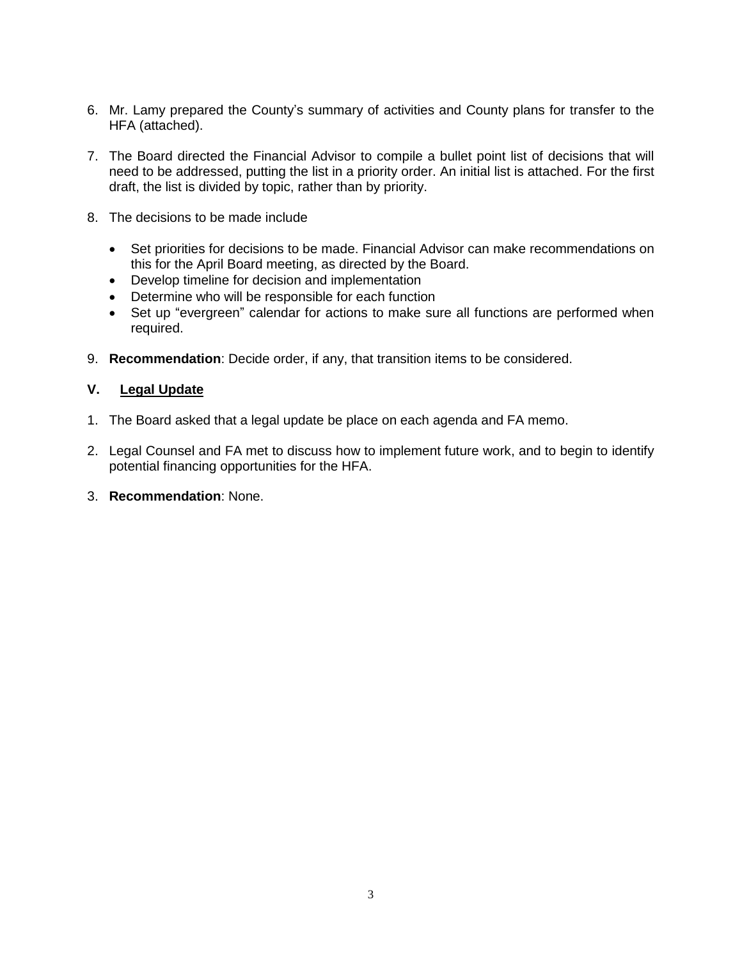- 6. Mr. Lamy prepared the County's summary of activities and County plans for transfer to the HFA (attached).
- 7. The Board directed the Financial Advisor to compile a bullet point list of decisions that will need to be addressed, putting the list in a priority order. An initial list is attached. For the first draft, the list is divided by topic, rather than by priority.
- 8. The decisions to be made include
	- Set priorities for decisions to be made. Financial Advisor can make recommendations on this for the April Board meeting, as directed by the Board.
	- Develop timeline for decision and implementation
	- Determine who will be responsible for each function
	- Set up "evergreen" calendar for actions to make sure all functions are performed when required.
- 9. **Recommendation**: Decide order, if any, that transition items to be considered.

# **V. Legal Update**

- 1. The Board asked that a legal update be place on each agenda and FA memo.
- 2. Legal Counsel and FA met to discuss how to implement future work, and to begin to identify potential financing opportunities for the HFA.
- 3. **Recommendation**: None.